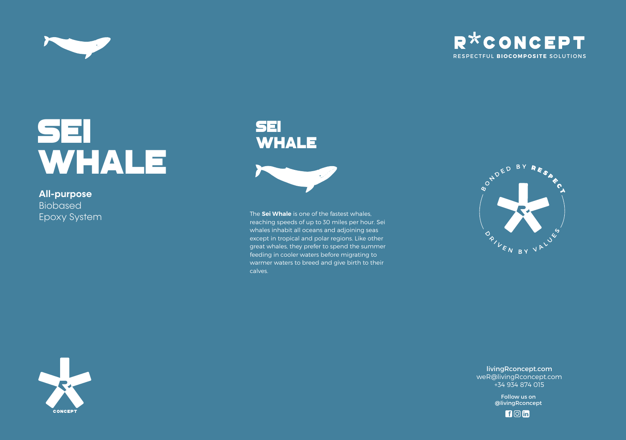



# SEI WHALE

**All-purpose**  Biobased Epoxy System

# sei **WHALE**



The **Sei Whale** is one of the fastest whales, reaching speeds of up to 30 miles per hour. Sei whales inhabit all oceans and adjoining seas except in tropical and polar regions. Like other great whales, they prefer to spend the summer feeding in cooler waters before migrating to warmer waters to breed and give birth to their calves.





livingRconcept.com weR@livingRconcept.com +34 934 874 015

> Follow us on @livingRconcept